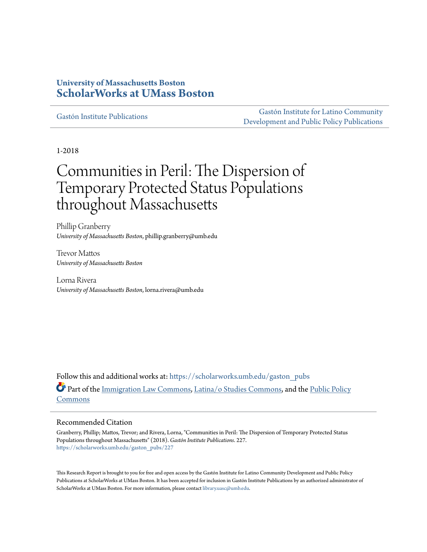## **University of Massachusetts Boston [ScholarWorks at UMass Boston](https://scholarworks.umb.edu?utm_source=scholarworks.umb.edu%2Fgaston_pubs%2F227&utm_medium=PDF&utm_campaign=PDFCoverPages)**

[Gastón Institute Publications](https://scholarworks.umb.edu/gaston_pubs?utm_source=scholarworks.umb.edu%2Fgaston_pubs%2F227&utm_medium=PDF&utm_campaign=PDFCoverPages)

[Gastón Institute for Latino Community](https://scholarworks.umb.edu/gastoninstitute?utm_source=scholarworks.umb.edu%2Fgaston_pubs%2F227&utm_medium=PDF&utm_campaign=PDFCoverPages) [Development and Public Policy Publications](https://scholarworks.umb.edu/gastoninstitute?utm_source=scholarworks.umb.edu%2Fgaston_pubs%2F227&utm_medium=PDF&utm_campaign=PDFCoverPages)

1-2018

# Communities in Peril: The Dispersion of Temporary Protected Status Populations throughout Massachusetts

Phillip Granberry *University of Massachusetts Boston*, phillip.granberry@umb.edu

Trevor Mattos *University of Massachusetts Boston*

Lorna Rivera *University of Massachusetts Boston*, lorna.rivera@umb.edu

Follow this and additional works at: [https://scholarworks.umb.edu/gaston\\_pubs](https://scholarworks.umb.edu/gaston_pubs?utm_source=scholarworks.umb.edu%2Fgaston_pubs%2F227&utm_medium=PDF&utm_campaign=PDFCoverPages) Part of the [Immigration Law Commons,](http://network.bepress.com/hgg/discipline/604?utm_source=scholarworks.umb.edu%2Fgaston_pubs%2F227&utm_medium=PDF&utm_campaign=PDFCoverPages) [Latina/o Studies Commons,](http://network.bepress.com/hgg/discipline/1315?utm_source=scholarworks.umb.edu%2Fgaston_pubs%2F227&utm_medium=PDF&utm_campaign=PDFCoverPages) and the [Public Policy](http://network.bepress.com/hgg/discipline/400?utm_source=scholarworks.umb.edu%2Fgaston_pubs%2F227&utm_medium=PDF&utm_campaign=PDFCoverPages) [Commons](http://network.bepress.com/hgg/discipline/400?utm_source=scholarworks.umb.edu%2Fgaston_pubs%2F227&utm_medium=PDF&utm_campaign=PDFCoverPages)

#### Recommended Citation

Granberry, Phillip; Mattos, Trevor; and Rivera, Lorna, "Communities in Peril: The Dispersion of Temporary Protected Status Populations throughout Massachusetts" (2018). *Gastón Institute Publications*. 227. [https://scholarworks.umb.edu/gaston\\_pubs/227](https://scholarworks.umb.edu/gaston_pubs/227?utm_source=scholarworks.umb.edu%2Fgaston_pubs%2F227&utm_medium=PDF&utm_campaign=PDFCoverPages)

This Research Report is brought to you for free and open access by the Gastón Institute for Latino Community Development and Public Policy Publications at ScholarWorks at UMass Boston. It has been accepted for inclusion in Gastón Institute Publications by an authorized administrator of ScholarWorks at UMass Boston. For more information, please contact [library.uasc@umb.edu](mailto:library.uasc@umb.edu).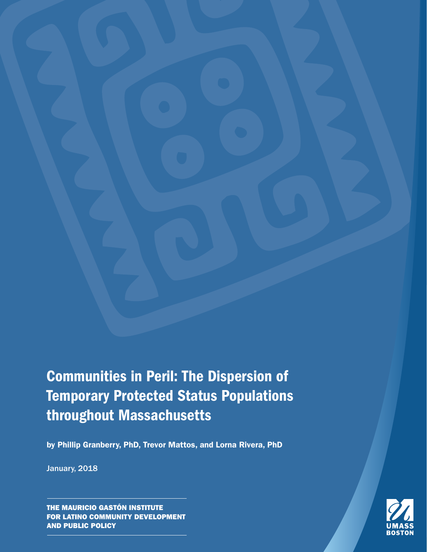Communities in Peril: The Dispersion of Temporary Protected Status Populations throughout Massachusetts

by Phillip Granberry, PhD, Trevor Mattos, and Lorna Rivera, PhD

January, 2018

THE MAURICIO GASTÓN INSTITUTE FOR LATINO COMMUNITY DEVELOPMENT AND PUBLIC POLICY

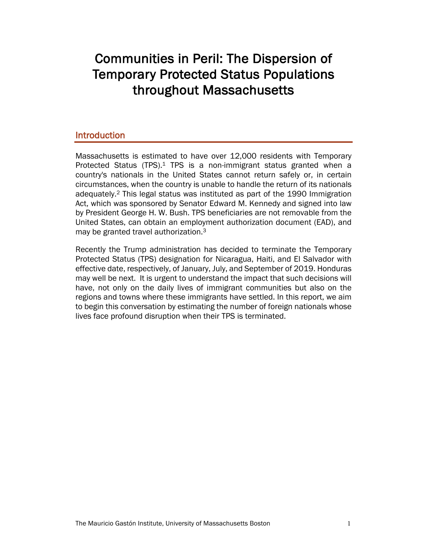# Communities in Peril: The Dispersion of Temporary Protected Status Populations throughout Massachusetts

## Introduction

Massachusetts is estimated to have over 12,000 residents with Temporary Protected Status (TPS).<sup>1</sup> TPS is a non-immigrant status granted when a country's nationals in the United States cannot return safely or, in certain circumstances, when the country is unable to handle the return of its nationals adequately.2 This legal status was instituted as part of the 1990 Immigration Act, which was sponsored by Senator Edward M. Kennedy and signed into law by President George H. W. Bush. TPS beneficiaries are not removable from the United States, can obtain an employment authorization document (EAD), and may be granted travel authorization.3

Recently the Trump administration has decided to terminate the Temporary Protected Status (TPS) designation for Nicaragua, Haiti, and El Salvador with effective date, respectively, of January, July, and September of 2019. Honduras may well be next. It is urgent to understand the impact that such decisions will have, not only on the daily lives of immigrant communities but also on the regions and towns where these immigrants have settled. In this report, we aim to begin this conversation by estimating the number of foreign nationals whose lives face profound disruption when their TPS is terminated.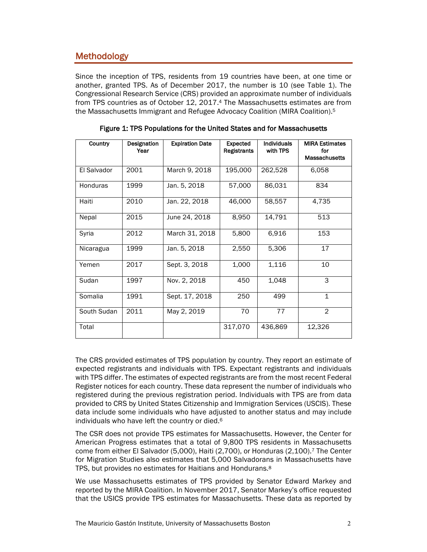# Methodology

Since the inception of TPS, residents from 19 countries have been, at one time or another, granted TPS. As of December 2017, the number is 10 (see Table 1). The Congressional Research Service (CRS) provided an approximate number of individuals from TPS countries as of October 12, 2017.4 The Massachusetts estimates are from the Massachusetts Immigrant and Refugee Advocacy Coalition (MIRA Coalition).5

| <b>Country</b>  | Designation<br>Year | <b>Expiration Date</b> | <b>Expected</b><br>Registrants | <b>Individuals</b><br>with TPS | <b>MIRA Estimates</b><br>for<br><b>Massachusetts</b> |
|-----------------|---------------------|------------------------|--------------------------------|--------------------------------|------------------------------------------------------|
| El Salvador     | 2001                | March 9, 2018          | 195,000                        | 262,528                        | 6,058                                                |
| <b>Honduras</b> | 1999                | Jan. 5, 2018           | 57,000                         | 86,031                         | 834                                                  |
| Haiti           | 2010                | Jan. 22, 2018          | 46,000                         | 58,557                         | 4,735                                                |
| Nepal           | 2015                | June 24, 2018          | 8,950                          | 14,791                         | 513                                                  |
| Syria           | 2012                | March 31, 2018         | 5,800                          | 6,916                          | 153                                                  |
| Nicaragua       | 1999                | Jan. 5, 2018           | 2,550                          | 5,306                          | 17                                                   |
| Yemen           | 2017                | Sept. 3, 2018          | 1,000                          | 1,116                          | 10                                                   |
| Sudan           | 1997                | Nov. 2, 2018           | 450                            | 1,048                          | 3                                                    |
| Somalia         | 1991                | Sept. 17, 2018         | 250                            | 499                            | $\mathbf{1}$                                         |
| South Sudan     | 2011                | May 2, 2019            | 70                             | 77                             | $\overline{2}$                                       |
| Total           |                     |                        | 317,070                        | 436,869                        | 12,326                                               |

|  |  |  | Figure 1: TPS Populations for the United States and for Massachusetts |
|--|--|--|-----------------------------------------------------------------------|
|--|--|--|-----------------------------------------------------------------------|

The CRS provided estimates of TPS population by country. They report an estimate of expected registrants and individuals with TPS. Expectant registrants and individuals with TPS differ. The estimates of expected registrants are from the most recent Federal Register notices for each country. These data represent the number of individuals who registered during the previous registration period. Individuals with TPS are from data provided to CRS by United States Citizenship and Immigration Services (USCIS). These data include some individuals who have adjusted to another status and may include individuals who have left the country or died.6

The CSR does not provide TPS estimates for Massachusetts. However, the Center for American Progress estimates that a total of 9,800 TPS residents in Massachusetts come from either El Salvador (5,000), Haiti (2,700), or Honduras (2,100).7 The Center for Migration Studies also estimates that 5,000 Salvadorans in Massachusetts have TPS, but provides no estimates for Haitians and Hondurans.<sup>8</sup>

We use Massachusetts estimates of TPS provided by Senator Edward Markey and reported by the MIRA Coalition. In November 2017, Senator Markey's office requested that the USICS provide TPS estimates for Massachusetts. These data as reported by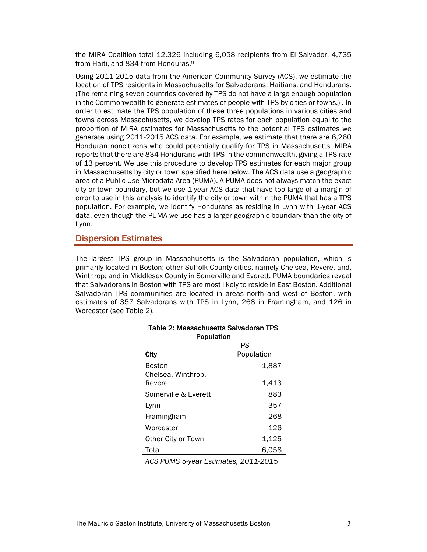the MIRA Coalition total 12,326 including 6,058 recipients from El Salvador, 4,735 from Haiti, and 834 from Honduras.9

Using 2011-2015 data from the American Community Survey (ACS), we estimate the location of TPS residents in Massachusetts for Salvadorans, Haitians, and Hondurans. (The remaining seven countries covered by TPS do not have a large enough population in the Commonwealth to generate estimates of people with TPS by cities or towns.) . In order to estimate the TPS population of these three populations in various cities and towns across Massachusetts, we develop TPS rates for each population equal to the proportion of MIRA estimates for Massachusetts to the potential TPS estimates we generate using 2011-2015 ACS data. For example, we estimate that there are 6,260 Honduran noncitizens who could potentially qualify for TPS in Massachusetts. MIRA reports that there are 834 Hondurans with TPS in the commonwealth, giving a TPS rate of 13 percent. We use this procedure to develop TPS estimates for each major group in Massachusetts by city or town specified here below. The ACS data use a geographic area of a Public Use Microdata Area (PUMA). A PUMA does not always match the exact city or town boundary, but we use 1-year ACS data that have too large of a margin of error to use in this analysis to identify the city or town within the PUMA that has a TPS population. For example, we identify Hondurans as residing in Lynn with 1-year ACS data, even though the PUMA we use has a larger geographic boundary than the city of Lynn.

#### Dispersion Estimates

The largest TPS group in Massachusetts is the Salvadoran population, which is primarily located in Boston; other Suffolk County cities, namely Chelsea, Revere, and, Winthrop; and in Middlesex County in Somerville and Everett. PUMA boundaries reveal that Salvadorans in Boston with TPS are most likely to reside in East Boston. Additional Salvadoran TPS communities are located in areas north and west of Boston, with estimates of 357 Salvadorans with TPS in Lynn, 268 in Framingham, and 126 in Worcester (see Table 2).

Table 2: Massachusetts Salvadoran TPS

| Population                                                         |                           |  |
|--------------------------------------------------------------------|---------------------------|--|
|                                                                    | <b>TPS</b>                |  |
| City                                                               | Population                |  |
| Boston<br>Chelsea, Winthrop,                                       | 1,887                     |  |
| Revere                                                             | 1,413                     |  |
| Somerville & Everett                                               | 883                       |  |
| Lynn                                                               | 357                       |  |
| Framingham                                                         | 268                       |  |
| Worcester                                                          | 126                       |  |
| Other City or Town                                                 | 1,125                     |  |
| Total                                                              | 6,058                     |  |
| $A \cap C$ , $D I I R A C$ , $E \cup \{x, y\}$ , $E \cup \{y, z\}$ | $\sim$ $\sim$ $\sim$<br>. |  |

#### *ACS PUMS 5-year Estimates, 2011-2015*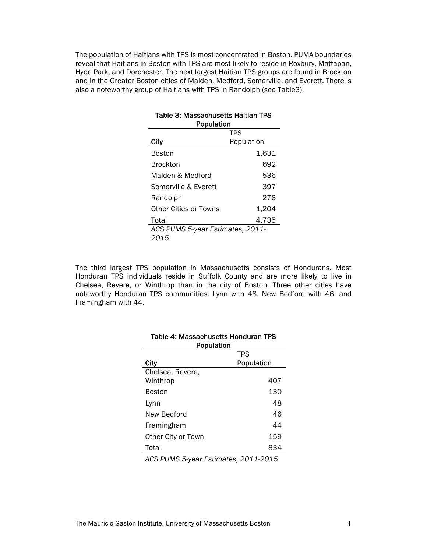The population of Haitians with TPS is most concentrated in Boston. PUMA boundaries reveal that Haitians in Boston with TPS are most likely to reside in Roxbury, Mattapan, Hyde Park, and Dorchester. The next largest Haitian TPS groups are found in Brockton and in the Greater Boston cities of Malden, Medford, Somerville, and Everett. There is also a noteworthy group of Haitians with TPS in Randolph (see Table3).

| Table 3: Massachusetts Haitian TPS<br>Population |            |  |  |  |
|--------------------------------------------------|------------|--|--|--|
|                                                  | <b>TPS</b> |  |  |  |
| City                                             | Population |  |  |  |
| Boston                                           | 1,631      |  |  |  |
| Brockton                                         | 692        |  |  |  |
| Malden & Medford                                 | 536        |  |  |  |
| Somerville & Everett                             | 397        |  |  |  |
| Randolph                                         | 276        |  |  |  |
| Other Cities or Towns                            | 1,204      |  |  |  |
| Total                                            | 4,735      |  |  |  |
| ACS PUMS 5-year Estimates, 2011-                 |            |  |  |  |
| 2015                                             |            |  |  |  |

The third largest TPS population in Massachusetts consists of Hondurans. Most Honduran TPS individuals reside in Suffolk County and are more likely to live in Chelsea, Revere, or Winthrop than in the city of Boston. Three other cities have noteworthy Honduran TPS communities: Lynn with 48, New Bedford with 46, and Framingham with 44.

| Population         |            |  |  |
|--------------------|------------|--|--|
|                    | <b>TPS</b> |  |  |
| City               | Population |  |  |
| Chelsea, Revere,   |            |  |  |
| Winthrop           | 407        |  |  |
| Boston             | 130        |  |  |
| Lynn               | 48         |  |  |
| New Bedford        | 46         |  |  |
| Framingham         | 44         |  |  |
| Other City or Town | 159        |  |  |
| Total              | 834        |  |  |
|                    |            |  |  |

# Table 4: Massachusetts Honduran TPS

*ACS PUMS 5-year Estimates, 2011-2015*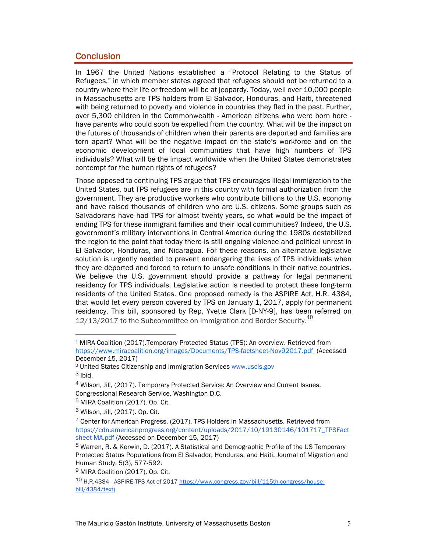## **Conclusion**

In 1967 the United Nations established a "Protocol Relating to the Status of Refugees," in which member states agreed that refugees should not be returned to a country where their life or freedom will be at jeopardy. Today, well over 10,000 people in Massachusetts are TPS holders from El Salvador, Honduras, and Haiti, threatened with being returned to poverty and violence in countries they fled in the past. Further, over 5,300 children in the Commonwealth - American citizens who were born here have parents who could soon be expelled from the country. What will be the impact on the futures of thousands of children when their parents are deported and families are torn apart? What will be the negative impact on the state's workforce and on the economic development of local communities that have high numbers of TPS individuals? What will be the impact worldwide when the United States demonstrates contempt for the human rights of refugees?

Those opposed to continuing TPS argue that TPS encourages illegal immigration to the United States, but TPS refugees are in this country with formal authorization from the government. They are productive workers who contribute billions to the U.S. economy and have raised thousands of children who are U.S. citizens. Some groups such as Salvadorans have had TPS for almost twenty years, so what would be the impact of ending TPS for these immigrant families and their local communities? Indeed, the U.S. government's military interventions in Central America during the 1980s destabilized the region to the point that today there is still ongoing violence and political unrest in El Salvador, Honduras, and Nicaragua. For these reasons, an alternative legislative solution is urgently needed to prevent endangering the lives of TPS individuals when they are deported and forced to return to unsafe conditions in their native countries. We believe the U.S. government should provide a pathway for legal permanent residency for TPS individuals. Legislative action is needed to protect these long-term residents of the United States. One proposed remedy is the ASPIRE Act, H.R. 4384, that would let every person covered by TPS on January 1, 2017, apply for permanent residency. This bill, sponsored by Rep. Yvette Clark [D-NY-9], has been referred on  $12/13/2017$  to the Subcommittee on Immigration and Border Security.<sup>10</sup>

<sup>1</sup> MIRA Coalition (2017).Temporary Protected Status (TPS): An overview. Retrieved from https://www.miracoalition.org/images/Documents/TPS-factsheet-Nov92017.pdf (Accessed December 15, 2017)

<sup>2</sup> United States Citizenship and Immigration Services www.uscis.gov  $3$  Ibid.

<sup>4</sup> Wilson, Jill, (2017). Temporary Protected Service: An Overview and Current Issues. Congressional Research Service, Washington D.C.

<sup>5</sup> MIRA Coalition (2017). Op. Cit.

<sup>6</sup> Wilson, Jill, (2017). Op. Cit.

<sup>7</sup> Center for American Progress. (2017). TPS Holders in Massachusetts. Retrieved from https://cdn.americanprogress.org/content/uploads/2017/10/19130146/101717\_TPSFact sheet-MA.pdf (Accessed on December 15, 2017)

<sup>8</sup> Warren, R. & Kerwin, D. (2017). A Statistical and Demographic Profile of the US Temporary Protected Status Populations from El Salvador, Honduras, and Haiti. Journal of Migration and Human Study, 5(3), 577-592.

<sup>&</sup>lt;sup>9</sup> MIRA Coalition (2017). Op. Cit.

<sup>10</sup> H.R.4384 - ASPIRE-TPS Act of 2017 https://www.congress.gov/bill/115th-congress/housebill/4384/text)